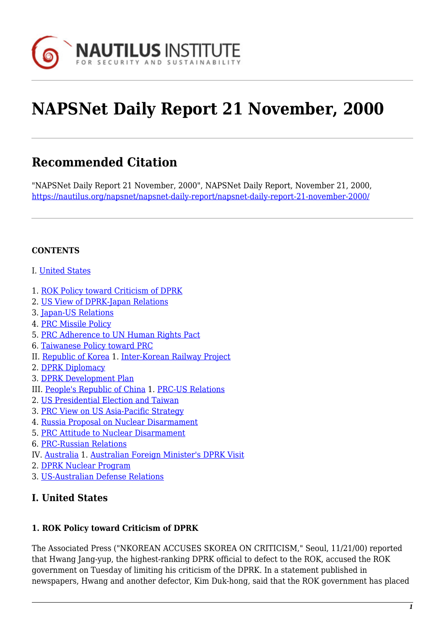

# **NAPSNet Daily Report 21 November, 2000**

## **Recommended Citation**

"NAPSNet Daily Report 21 November, 2000", NAPSNet Daily Report, November 21, 2000, <https://nautilus.org/napsnet/napsnet-daily-report/napsnet-daily-report-21-november-2000/>

#### **CONTENTS**

- I. [United States](#page-0-0)
- 1. [ROK Policy toward Criticism of DPRK](#page-0-1)
- 2. [US View of DPRK-Japan Relations](#page-1-0)
- 3. [Japan-US Relations](#page-1-1)
- 4. [PRC Missile Policy](#page-1-2)
- 5. [PRC Adherence to UN Human Rights Pact](#page-2-0)
- 6. [Taiwanese Policy toward PRC](#page-2-1)
- II. [Republic of Korea](#page-2-2) 1. [Inter-Korean Railway Project](#page-3-0)
- 2. [DPRK Diplomacy](#page-3-1)
- 3. [DPRK Development Plan](#page-3-2)
- III. [People's Republic of China](#page-3-3) 1. [PRC-US Relations](#page-4-0)
- 2. [US Presidential Election and Taiwan](#page-4-1)
- 3. [PRC View on US Asia-Pacific Strategy](#page-5-0)
- 4. [Russia Proposal on Nuclear Disarmament](#page-5-1)
- 5. [PRC Attitude to Nuclear Disarmament](#page-5-2)
- 6. [PRC-Russian Relations](#page-6-0)
- IV. [Australia](#page-6-1) 1. [Australian Foreign Minister's DPRK Visit](#page-6-2)
- 2. [DPRK Nuclear Program](#page-7-0)
- 3. [US-Australian Defense Relations](#page-7-1)

## <span id="page-0-0"></span>**I. United States**

#### <span id="page-0-1"></span>**1. ROK Policy toward Criticism of DPRK**

The Associated Press ("NKOREAN ACCUSES SKOREA ON CRITICISM," Seoul, 11/21/00) reported that Hwang Jang-yup, the highest-ranking DPRK official to defect to the ROK, accused the ROK government on Tuesday of limiting his criticism of the DPRK. In a statement published in newspapers, Hwang and another defector, Kim Duk-hong, said that the ROK government has placed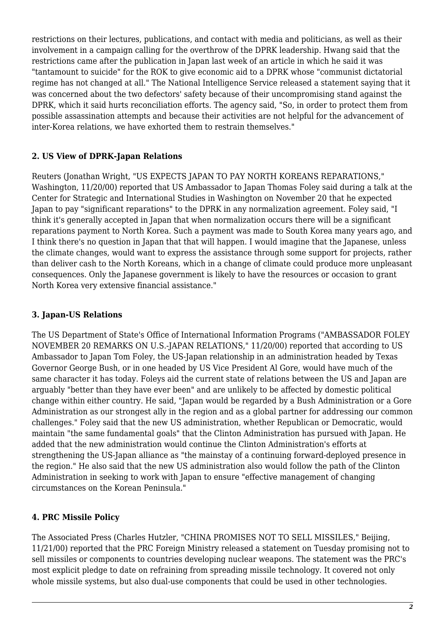restrictions on their lectures, publications, and contact with media and politicians, as well as their involvement in a campaign calling for the overthrow of the DPRK leadership. Hwang said that the restrictions came after the publication in Japan last week of an article in which he said it was "tantamount to suicide" for the ROK to give economic aid to a DPRK whose "communist dictatorial regime has not changed at all." The National Intelligence Service released a statement saying that it was concerned about the two defectors' safety because of their uncompromising stand against the DPRK, which it said hurts reconciliation efforts. The agency said, "So, in order to protect them from possible assassination attempts and because their activities are not helpful for the advancement of inter-Korea relations, we have exhorted them to restrain themselves."

#### <span id="page-1-0"></span>**2. US View of DPRK-Japan Relations**

Reuters (Jonathan Wright, "US EXPECTS JAPAN TO PAY NORTH KOREANS REPARATIONS," Washington, 11/20/00) reported that US Ambassador to Japan Thomas Foley said during a talk at the Center for Strategic and International Studies in Washington on November 20 that he expected Japan to pay "significant reparations" to the DPRK in any normalization agreement. Foley said, "I think it's generally accepted in Japan that when normalization occurs there will be a significant reparations payment to North Korea. Such a payment was made to South Korea many years ago, and I think there's no question in Japan that that will happen. I would imagine that the Japanese, unless the climate changes, would want to express the assistance through some support for projects, rather than deliver cash to the North Koreans, which in a change of climate could produce more unpleasant consequences. Only the Japanese government is likely to have the resources or occasion to grant North Korea very extensive financial assistance."

#### <span id="page-1-1"></span>**3. Japan-US Relations**

The US Department of State's Office of International Information Programs ("AMBASSADOR FOLEY NOVEMBER 20 REMARKS ON U.S.-JAPAN RELATIONS," 11/20/00) reported that according to US Ambassador to Japan Tom Foley, the US-Japan relationship in an administration headed by Texas Governor George Bush, or in one headed by US Vice President Al Gore, would have much of the same character it has today. Foleys aid the current state of relations between the US and Japan are arguably "better than they have ever been" and are unlikely to be affected by domestic political change within either country. He said, "Japan would be regarded by a Bush Administration or a Gore Administration as our strongest ally in the region and as a global partner for addressing our common challenges." Foley said that the new US administration, whether Republican or Democratic, would maintain "the same fundamental goals" that the Clinton Administration has pursued with Japan. He added that the new administration would continue the Clinton Administration's efforts at strengthening the US-Japan alliance as "the mainstay of a continuing forward-deployed presence in the region." He also said that the new US administration also would follow the path of the Clinton Administration in seeking to work with Japan to ensure "effective management of changing circumstances on the Korean Peninsula."

#### <span id="page-1-2"></span>**4. PRC Missile Policy**

The Associated Press (Charles Hutzler, "CHINA PROMISES NOT TO SELL MISSILES," Beijing, 11/21/00) reported that the PRC Foreign Ministry released a statement on Tuesday promising not to sell missiles or components to countries developing nuclear weapons. The statement was the PRC's most explicit pledge to date on refraining from spreading missile technology. It covered not only whole missile systems, but also dual-use components that could be used in other technologies.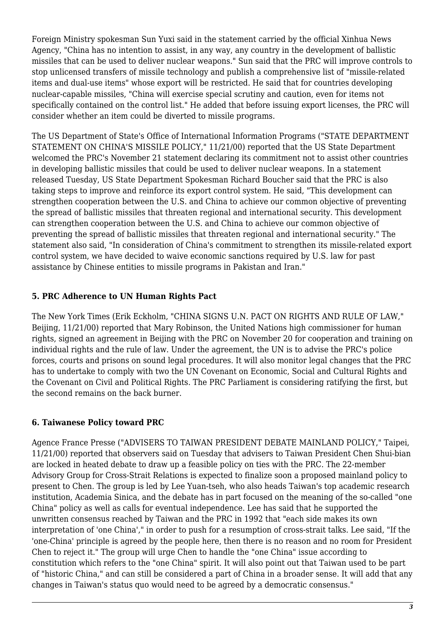Foreign Ministry spokesman Sun Yuxi said in the statement carried by the official Xinhua News Agency, "China has no intention to assist, in any way, any country in the development of ballistic missiles that can be used to deliver nuclear weapons." Sun said that the PRC will improve controls to stop unlicensed transfers of missile technology and publish a comprehensive list of "missile-related items and dual-use items" whose export will be restricted. He said that for countries developing nuclear-capable missiles, "China will exercise special scrutiny and caution, even for items not specifically contained on the control list." He added that before issuing export licenses, the PRC will consider whether an item could be diverted to missile programs.

The US Department of State's Office of International Information Programs ("STATE DEPARTMENT STATEMENT ON CHINA'S MISSILE POLICY," 11/21/00) reported that the US State Department welcomed the PRC's November 21 statement declaring its commitment not to assist other countries in developing ballistic missiles that could be used to deliver nuclear weapons. In a statement released Tuesday, US State Department Spokesman Richard Boucher said that the PRC is also taking steps to improve and reinforce its export control system. He said, "This development can strengthen cooperation between the U.S. and China to achieve our common objective of preventing the spread of ballistic missiles that threaten regional and international security. This development can strengthen cooperation between the U.S. and China to achieve our common objective of preventing the spread of ballistic missiles that threaten regional and international security." The statement also said, "In consideration of China's commitment to strengthen its missile-related export control system, we have decided to waive economic sanctions required by U.S. law for past assistance by Chinese entities to missile programs in Pakistan and Iran."

#### <span id="page-2-0"></span>**5. PRC Adherence to UN Human Rights Pact**

The New York Times (Erik Eckholm, "CHINA SIGNS U.N. PACT ON RIGHTS AND RULE OF LAW," Beijing, 11/21/00) reported that Mary Robinson, the United Nations high commissioner for human rights, signed an agreement in Beijing with the PRC on November 20 for cooperation and training on individual rights and the rule of law. Under the agreement, the UN is to advise the PRC's police forces, courts and prisons on sound legal procedures. It will also monitor legal changes that the PRC has to undertake to comply with two the UN Covenant on Economic, Social and Cultural Rights and the Covenant on Civil and Political Rights. The PRC Parliament is considering ratifying the first, but the second remains on the back burner.

## <span id="page-2-1"></span>**6. Taiwanese Policy toward PRC**

<span id="page-2-2"></span>Agence France Presse ("ADVISERS TO TAIWAN PRESIDENT DEBATE MAINLAND POLICY," Taipei, 11/21/00) reported that observers said on Tuesday that advisers to Taiwan President Chen Shui-bian are locked in heated debate to draw up a feasible policy on ties with the PRC. The 22-member Advisory Group for Cross-Strait Relations is expected to finalize soon a proposed mainland policy to present to Chen. The group is led by Lee Yuan-tseh, who also heads Taiwan's top academic research institution, Academia Sinica, and the debate has in part focused on the meaning of the so-called "one China" policy as well as calls for eventual independence. Lee has said that he supported the unwritten consensus reached by Taiwan and the PRC in 1992 that "each side makes its own interpretation of 'one China'," in order to push for a resumption of cross-strait talks. Lee said, "If the 'one-China' principle is agreed by the people here, then there is no reason and no room for President Chen to reject it." The group will urge Chen to handle the "one China" issue according to constitution which refers to the "one China" spirit. It will also point out that Taiwan used to be part of "historic China," and can still be considered a part of China in a broader sense. It will add that any changes in Taiwan's status quo would need to be agreed by a democratic consensus."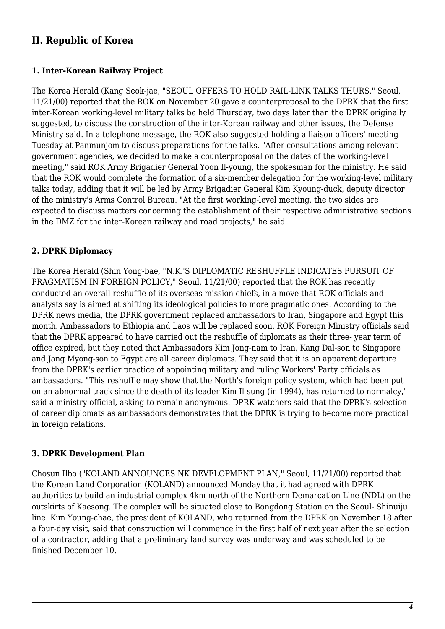## **II. Republic of Korea**

#### <span id="page-3-0"></span>**1. Inter-Korean Railway Project**

The Korea Herald (Kang Seok-jae, "SEOUL OFFERS TO HOLD RAIL-LINK TALKS THURS," Seoul, 11/21/00) reported that the ROK on November 20 gave a counterproposal to the DPRK that the first inter-Korean working-level military talks be held Thursday, two days later than the DPRK originally suggested, to discuss the construction of the inter-Korean railway and other issues, the Defense Ministry said. In a telephone message, the ROK also suggested holding a liaison officers' meeting Tuesday at Panmunjom to discuss preparations for the talks. "After consultations among relevant government agencies, we decided to make a counterproposal on the dates of the working-level meeting," said ROK Army Brigadier General Yoon Il-young, the spokesman for the ministry. He said that the ROK would complete the formation of a six-member delegation for the working-level military talks today, adding that it will be led by Army Brigadier General Kim Kyoung-duck, deputy director of the ministry's Arms Control Bureau. "At the first working-level meeting, the two sides are expected to discuss matters concerning the establishment of their respective administrative sections in the DMZ for the inter-Korean railway and road projects," he said.

#### <span id="page-3-1"></span>**2. DPRK Diplomacy**

The Korea Herald (Shin Yong-bae, "N.K.'S DIPLOMATIC RESHUFFLE INDICATES PURSUIT OF PRAGMATISM IN FOREIGN POLICY," Seoul, 11/21/00) reported that the ROK has recently conducted an overall reshuffle of its overseas mission chiefs, in a move that ROK officials and analysts say is aimed at shifting its ideological policies to more pragmatic ones. According to the DPRK news media, the DPRK government replaced ambassadors to Iran, Singapore and Egypt this month. Ambassadors to Ethiopia and Laos will be replaced soon. ROK Foreign Ministry officials said that the DPRK appeared to have carried out the reshuffle of diplomats as their three- year term of office expired, but they noted that Ambassadors Kim Jong-nam to Iran, Kang Dal-son to Singapore and Jang Myong-son to Egypt are all career diplomats. They said that it is an apparent departure from the DPRK's earlier practice of appointing military and ruling Workers' Party officials as ambassadors. "This reshuffle may show that the North's foreign policy system, which had been put on an abnormal track since the death of its leader Kim Il-sung (in 1994), has returned to normalcy," said a ministry official, asking to remain anonymous. DPRK watchers said that the DPRK's selection of career diplomats as ambassadors demonstrates that the DPRK is trying to become more practical in foreign relations.

#### <span id="page-3-2"></span>**3. DPRK Development Plan**

<span id="page-3-3"></span>Chosun Ilbo ("KOLAND ANNOUNCES NK DEVELOPMENT PLAN," Seoul, 11/21/00) reported that the Korean Land Corporation (KOLAND) announced Monday that it had agreed with DPRK authorities to build an industrial complex 4km north of the Northern Demarcation Line (NDL) on the outskirts of Kaesong. The complex will be situated close to Bongdong Station on the Seoul- Shinuiju line. Kim Young-chae, the president of KOLAND, who returned from the DPRK on November 18 after a four-day visit, said that construction will commence in the first half of next year after the selection of a contractor, adding that a preliminary land survey was underway and was scheduled to be finished December 10.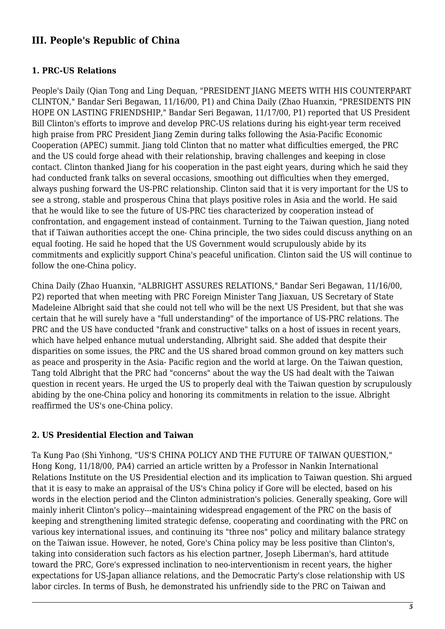## **III. People's Republic of China**

#### <span id="page-4-0"></span>**1. PRC-US Relations**

People's Daily (Qian Tong and Ling Dequan, "PRESIDENT JIANG MEETS WITH HIS COUNTERPART CLINTON," Bandar Seri Begawan, 11/16/00, P1) and China Daily (Zhao Huanxin, "PRESIDENTS PIN HOPE ON LASTING FRIENDSHIP," Bandar Seri Begawan, 11/17/00, P1) reported that US President Bill Clinton's efforts to improve and develop PRC-US relations during his eight-year term received high praise from PRC President Jiang Zemin during talks following the Asia-Pacific Economic Cooperation (APEC) summit. Jiang told Clinton that no matter what difficulties emerged, the PRC and the US could forge ahead with their relationship, braving challenges and keeping in close contact. Clinton thanked Jiang for his cooperation in the past eight years, during which he said they had conducted frank talks on several occasions, smoothing out difficulties when they emerged, always pushing forward the US-PRC relationship. Clinton said that it is very important for the US to see a strong, stable and prosperous China that plays positive roles in Asia and the world. He said that he would like to see the future of US-PRC ties characterized by cooperation instead of confrontation, and engagement instead of containment. Turning to the Taiwan question, Jiang noted that if Taiwan authorities accept the one- China principle, the two sides could discuss anything on an equal footing. He said he hoped that the US Government would scrupulously abide by its commitments and explicitly support China's peaceful unification. Clinton said the US will continue to follow the one-China policy.

China Daily (Zhao Huanxin, "ALBRIGHT ASSURES RELATIONS," Bandar Seri Begawan, 11/16/00, P2) reported that when meeting with PRC Foreign Minister Tang Jiaxuan, US Secretary of State Madeleine Albright said that she could not tell who will be the next US President, but that she was certain that he will surely have a "full understanding" of the importance of US-PRC relations. The PRC and the US have conducted "frank and constructive" talks on a host of issues in recent years, which have helped enhance mutual understanding, Albright said. She added that despite their disparities on some issues, the PRC and the US shared broad common ground on key matters such as peace and prosperity in the Asia- Pacific region and the world at large. On the Taiwan question, Tang told Albright that the PRC had "concerns" about the way the US had dealt with the Taiwan question in recent years. He urged the US to properly deal with the Taiwan question by scrupulously abiding by the one-China policy and honoring its commitments in relation to the issue. Albright reaffirmed the US's one-China policy.

#### <span id="page-4-1"></span>**2. US Presidential Election and Taiwan**

Ta Kung Pao (Shi Yinhong, "US'S CHINA POLICY AND THE FUTURE OF TAIWAN QUESTION," Hong Kong, 11/18/00, PA4) carried an article written by a Professor in Nankin International Relations Institute on the US Presidential election and its implication to Taiwan question. Shi argued that it is easy to make an appraisal of the US's China policy if Gore will be elected, based on his words in the election period and the Clinton administration's policies. Generally speaking, Gore will mainly inherit Clinton's policy---maintaining widespread engagement of the PRC on the basis of keeping and strengthening limited strategic defense, cooperating and coordinating with the PRC on various key international issues, and continuing its "three nos" policy and military balance strategy on the Taiwan issue. However, he noted, Gore's China policy may be less positive than Clinton's, taking into consideration such factors as his election partner, Joseph Liberman's, hard attitude toward the PRC, Gore's expressed inclination to neo-interventionism in recent years, the higher expectations for US-Japan alliance relations, and the Democratic Party's close relationship with US labor circles. In terms of Bush, he demonstrated his unfriendly side to the PRC on Taiwan and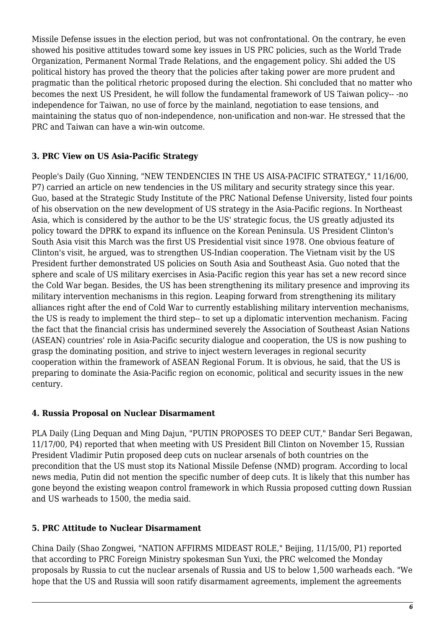Missile Defense issues in the election period, but was not confrontational. On the contrary, he even showed his positive attitudes toward some key issues in US PRC policies, such as the World Trade Organization, Permanent Normal Trade Relations, and the engagement policy. Shi added the US political history has proved the theory that the policies after taking power are more prudent and pragmatic than the political rhetoric proposed during the election. Shi concluded that no matter who becomes the next US President, he will follow the fundamental framework of US Taiwan policy-- -no independence for Taiwan, no use of force by the mainland, negotiation to ease tensions, and maintaining the status quo of non-independence, non-unification and non-war. He stressed that the PRC and Taiwan can have a win-win outcome.

#### <span id="page-5-0"></span>**3. PRC View on US Asia-Pacific Strategy**

People's Daily (Guo Xinning, "NEW TENDENCIES IN THE US AISA-PACIFIC STRATEGY," 11/16/00, P7) carried an article on new tendencies in the US military and security strategy since this year. Guo, based at the Strategic Study Institute of the PRC National Defense University, listed four points of his observation on the new development of US strategy in the Asia-Pacific regions. In Northeast Asia, which is considered by the author to be the US' strategic focus, the US greatly adjusted its policy toward the DPRK to expand its influence on the Korean Peninsula. US President Clinton's South Asia visit this March was the first US Presidential visit since 1978. One obvious feature of Clinton's visit, he argued, was to strengthen US-Indian cooperation. The Vietnam visit by the US President further demonstrated US policies on South Asia and Southeast Asia. Guo noted that the sphere and scale of US military exercises in Asia-Pacific region this year has set a new record since the Cold War began. Besides, the US has been strengthening its military presence and improving its military intervention mechanisms in this region. Leaping forward from strengthening its military alliances right after the end of Cold War to currently establishing military intervention mechanisms, the US is ready to implement the third step-- to set up a diplomatic intervention mechanism. Facing the fact that the financial crisis has undermined severely the Association of Southeast Asian Nations (ASEAN) countries' role in Asia-Pacific security dialogue and cooperation, the US is now pushing to grasp the dominating position, and strive to inject western leverages in regional security cooperation within the framework of ASEAN Regional Forum. It is obvious, he said, that the US is preparing to dominate the Asia-Pacific region on economic, political and security issues in the new century.

#### <span id="page-5-1"></span>**4. Russia Proposal on Nuclear Disarmament**

PLA Daily (Ling Dequan and Ming Dajun, "PUTIN PROPOSES TO DEEP CUT," Bandar Seri Begawan, 11/17/00, P4) reported that when meeting with US President Bill Clinton on November 15, Russian President Vladimir Putin proposed deep cuts on nuclear arsenals of both countries on the precondition that the US must stop its National Missile Defense (NMD) program. According to local news media, Putin did not mention the specific number of deep cuts. It is likely that this number has gone beyond the existing weapon control framework in which Russia proposed cutting down Russian and US warheads to 1500, the media said.

#### <span id="page-5-2"></span>**5. PRC Attitude to Nuclear Disarmament**

China Daily (Shao Zongwei, "NATION AFFIRMS MIDEAST ROLE," Beijing, 11/15/00, P1) reported that according to PRC Foreign Ministry spokesman Sun Yuxi, the PRC welcomed the Monday proposals by Russia to cut the nuclear arsenals of Russia and US to below 1,500 warheads each. "We hope that the US and Russia will soon ratify disarmament agreements, implement the agreements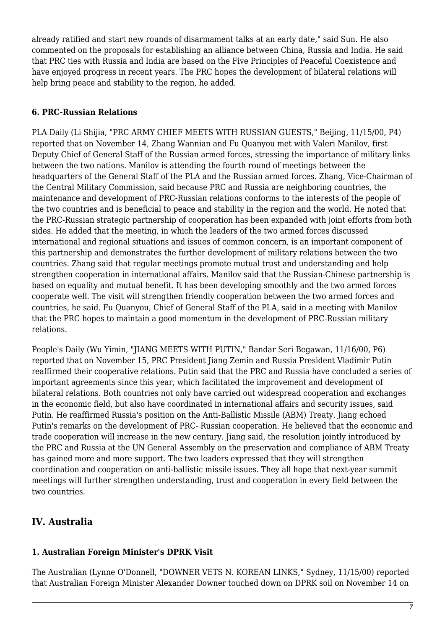already ratified and start new rounds of disarmament talks at an early date," said Sun. He also commented on the proposals for establishing an alliance between China, Russia and India. He said that PRC ties with Russia and India are based on the Five Principles of Peaceful Coexistence and have enjoyed progress in recent years. The PRC hopes the development of bilateral relations will help bring peace and stability to the region, he added.

#### <span id="page-6-0"></span>**6. PRC-Russian Relations**

PLA Daily (Li Shijia, "PRC ARMY CHIEF MEETS WITH RUSSIAN GUESTS," Beijing, 11/15/00, P4) reported that on November 14, Zhang Wannian and Fu Quanyou met with Valeri Manilov, first Deputy Chief of General Staff of the Russian armed forces, stressing the importance of military links between the two nations. Manilov is attending the fourth round of meetings between the headquarters of the General Staff of the PLA and the Russian armed forces. Zhang, Vice-Chairman of the Central Military Commission, said because PRC and Russia are neighboring countries, the maintenance and development of PRC-Russian relations conforms to the interests of the people of the two countries and is beneficial to peace and stability in the region and the world. He noted that the PRC-Russian strategic partnership of cooperation has been expanded with joint efforts from both sides. He added that the meeting, in which the leaders of the two armed forces discussed international and regional situations and issues of common concern, is an important component of this partnership and demonstrates the further development of military relations between the two countries. Zhang said that regular meetings promote mutual trust and understanding and help strengthen cooperation in international affairs. Manilov said that the Russian-Chinese partnership is based on equality and mutual benefit. It has been developing smoothly and the two armed forces cooperate well. The visit will strengthen friendly cooperation between the two armed forces and countries, he said. Fu Quanyou, Chief of General Staff of the PLA, said in a meeting with Manilov that the PRC hopes to maintain a good momentum in the development of PRC-Russian military relations.

People's Daily (Wu Yimin, "JIANG MEETS WITH PUTIN," Bandar Seri Begawan, 11/16/00, P6) reported that on November 15, PRC President Jiang Zemin and Russia President Vladimir Putin reaffirmed their cooperative relations. Putin said that the PRC and Russia have concluded a series of important agreements since this year, which facilitated the improvement and development of bilateral relations. Both countries not only have carried out widespread cooperation and exchanges in the economic field, but also have coordinated in international affairs and security issues, said Putin. He reaffirmed Russia's position on the Anti-Ballistic Missile (ABM) Treaty. Jiang echoed Putin's remarks on the development of PRC- Russian cooperation. He believed that the economic and trade cooperation will increase in the new century. Jiang said, the resolution jointly introduced by the PRC and Russia at the UN General Assembly on the preservation and compliance of ABM Treaty has gained more and more support. The two leaders expressed that they will strengthen coordination and cooperation on anti-ballistic missile issues. They all hope that next-year summit meetings will further strengthen understanding, trust and cooperation in every field between the two countries.

## <span id="page-6-1"></span>**IV. Australia**

## <span id="page-6-2"></span>**1. Australian Foreign Minister's DPRK Visit**

The Australian (Lynne O'Donnell, "DOWNER VETS N. KOREAN LINKS," Sydney, 11/15/00) reported that Australian Foreign Minister Alexander Downer touched down on DPRK soil on November 14 on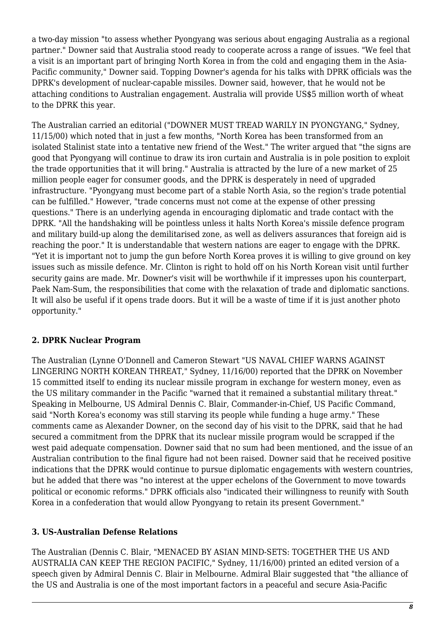a two-day mission "to assess whether Pyongyang was serious about engaging Australia as a regional partner." Downer said that Australia stood ready to cooperate across a range of issues. "We feel that a visit is an important part of bringing North Korea in from the cold and engaging them in the Asia-Pacific community," Downer said. Topping Downer's agenda for his talks with DPRK officials was the DPRK's development of nuclear-capable missiles. Downer said, however, that he would not be attaching conditions to Australian engagement. Australia will provide US\$5 million worth of wheat to the DPRK this year.

The Australian carried an editorial ("DOWNER MUST TREAD WARILY IN PYONGYANG," Sydney, 11/15/00) which noted that in just a few months, "North Korea has been transformed from an isolated Stalinist state into a tentative new friend of the West." The writer argued that "the signs are good that Pyongyang will continue to draw its iron curtain and Australia is in pole position to exploit the trade opportunities that it will bring." Australia is attracted by the lure of a new market of 25 million people eager for consumer goods, and the DPRK is desperately in need of upgraded infrastructure. "Pyongyang must become part of a stable North Asia, so the region's trade potential can be fulfilled." However, "trade concerns must not come at the expense of other pressing questions." There is an underlying agenda in encouraging diplomatic and trade contact with the DPRK. "All the handshaking will be pointless unless it halts North Korea's missile defence program and military build-up along the demilitarised zone, as well as delivers assurances that foreign aid is reaching the poor." It is understandable that western nations are eager to engage with the DPRK. "Yet it is important not to jump the gun before North Korea proves it is willing to give ground on key issues such as missile defence. Mr. Clinton is right to hold off on his North Korean visit until further security gains are made. Mr. Downer's visit will be worthwhile if it impresses upon his counterpart, Paek Nam-Sum, the responsibilities that come with the relaxation of trade and diplomatic sanctions. It will also be useful if it opens trade doors. But it will be a waste of time if it is just another photo opportunity."

#### <span id="page-7-0"></span>**2. DPRK Nuclear Program**

The Australian (Lynne O'Donnell and Cameron Stewart "US NAVAL CHIEF WARNS AGAINST LINGERING NORTH KOREAN THREAT," Sydney, 11/16/00) reported that the DPRK on November 15 committed itself to ending its nuclear missile program in exchange for western money, even as the US military commander in the Pacific "warned that it remained a substantial military threat." Speaking in Melbourne, US Admiral Dennis C. Blair, Commander-in-Chief, US Pacific Command, said "North Korea's economy was still starving its people while funding a huge army." These comments came as Alexander Downer, on the second day of his visit to the DPRK, said that he had secured a commitment from the DPRK that its nuclear missile program would be scrapped if the west paid adequate compensation. Downer said that no sum had been mentioned, and the issue of an Australian contribution to the final figure had not been raised. Downer said that he received positive indications that the DPRK would continue to pursue diplomatic engagements with western countries, but he added that there was "no interest at the upper echelons of the Government to move towards political or economic reforms." DPRK officials also "indicated their willingness to reunify with South Korea in a confederation that would allow Pyongyang to retain its present Government."

#### <span id="page-7-1"></span>**3. US-Australian Defense Relations**

The Australian (Dennis C. Blair, "MENACED BY ASIAN MIND-SETS: TOGETHER THE US AND AUSTRALIA CAN KEEP THE REGION PACIFIC," Sydney, 11/16/00) printed an edited version of a speech given by Admiral Dennis C. Blair in Melbourne. Admiral Blair suggested that "the alliance of the US and Australia is one of the most important factors in a peaceful and secure Asia-Pacific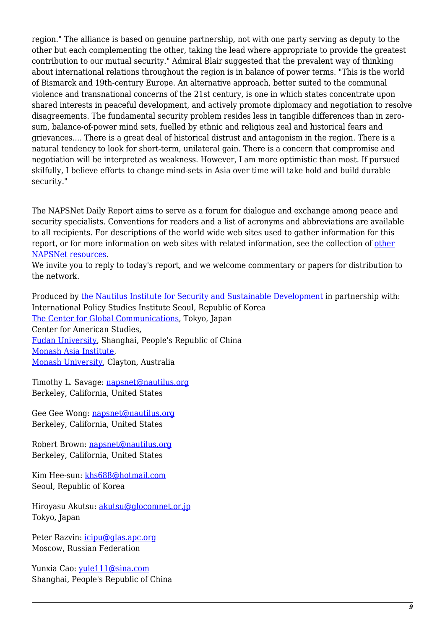region." The alliance is based on genuine partnership, not with one party serving as deputy to the other but each complementing the other, taking the lead where appropriate to provide the greatest contribution to our mutual security." Admiral Blair suggested that the prevalent way of thinking about international relations throughout the region is in balance of power terms. "This is the world of Bismarck and 19th-century Europe. An alternative approach, better suited to the communal violence and transnational concerns of the 21st century, is one in which states concentrate upon shared interests in peaceful development, and actively promote diplomacy and negotiation to resolve disagreements. The fundamental security problem resides less in tangible differences than in zerosum, balance-of-power mind sets, fuelled by ethnic and religious zeal and historical fears and grievances.... There is a great deal of historical distrust and antagonism in the region. There is a natural tendency to look for short-term, unilateral gain. There is a concern that compromise and negotiation will be interpreted as weakness. However, I am more optimistic than most. If pursued skilfully, I believe efforts to change mind-sets in Asia over time will take hold and build durable security."

The NAPSNet Daily Report aims to serve as a forum for dialogue and exchange among peace and security specialists. Conventions for readers and a list of acronyms and abbreviations are available to all recipients. For descriptions of the world wide web sites used to gather information for this report, or for more information on web sites with related information, see the collection of [other](http://nautilus.org/kiosk/weblinks.html) [NAPSNet resources.](http://nautilus.org/kiosk/weblinks.html)

We invite you to reply to today's report, and we welcome commentary or papers for distribution to the network.

Produced by [the Nautilus Institute for Security and Sustainable Development](http://nautilus.org/admin/about.html) in partnership with: International Policy Studies Institute Seoul, Republic of Korea [The Center for Global Communications](http://aska.glocom.ac.jp/default.html), Tokyo, Japan Center for American Studies, [Fudan University](http://www.fudan.edu.cn/English/nsindex.html), Shanghai, People's Republic of China [Monash Asia Institute,](http://www.adm.monash.edu.au) [Monash University](http://www.monash.edu.au/), Clayton, Australia

Timothy L. Savage: [napsnet@nautilus.org](mailto:napsnet@nautilus.org) Berkeley, California, United States

Gee Gee Wong: [napsnet@nautilus.org](mailto:napsnet@nautilus.org) Berkeley, California, United States

Robert Brown: [napsnet@nautilus.org](mailto:napsnet@nautilus.org) Berkeley, California, United States

Kim Hee-sun: [khs688@hotmail.com](mailto:khs688@hotmail.com) Seoul, Republic of Korea

Hiroyasu Akutsu: [akutsu@glocomnet.or.jp](mailto:akutsu@glocomnet.or.jp) Tokyo, Japan

Peter Razvin: [icipu@glas.apc.org](mailto:icipu@glas.apc.org) Moscow, Russian Federation

Yunxia Cao: [yule111@sina.com](mailto:yule111@sina.com) Shanghai, People's Republic of China